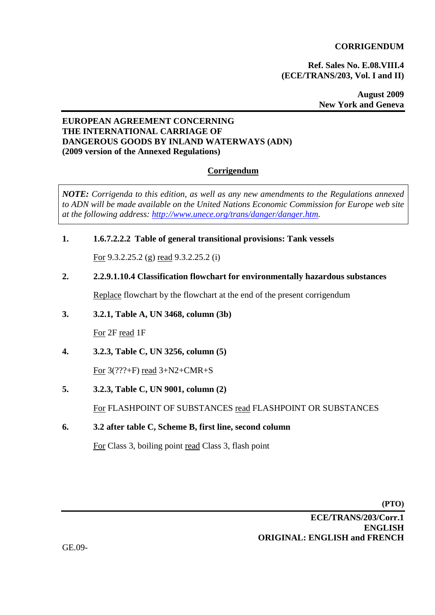# **CORRIGENDUM**

**Ref. Sales No. E.08.VIII.4 (ECE/TRANS/203, Vol. I and II)** 

> **August 2009 New York and Geneva**

# **EUROPEAN AGREEMENT CONCERNING THE INTERNATIONAL CARRIAGE OF DANGEROUS GOODS BY INLAND WATERWAYS (ADN) (2009 version of the Annexed Regulations)**

# **Corrigendum**

*NOTE: Corrigenda to this edition, as well as any new amendments to the Regulations annexed to ADN will be made available on the United Nations Economic Commission for Europe web site at the following address: http://www.unece.org/trans/danger/danger.htm.* 

# **1. 1.6.7.2.2.2 Table of general transitional provisions: Tank vessels**

For 9.3.2.25.2 (g) read 9.3.2.25.2 (i)

# **2. 2.2.9.1.10.4 Classification flowchart for environmentally hazardous substances**

Replace flowchart by the flowchart at the end of the present corrigendum

#### **3. 3.2.1, Table A, UN 3468, column (3b)**

For 2F read 1F

**4. 3.2.3, Table C, UN 3256, column (5)** 

For 3(???+F) read 3+N2+CMR+S

**5. 3.2.3, Table C, UN 9001, column (2)** 

For FLASHPOINT OF SUBSTANCES read FLASHPOINT OR SUBSTANCES

**6. 3.2 after table C, Scheme B, first line, second column** 

For Class 3, boiling point read Class 3, flash point

**(PTO)** 

**ECE/TRANS/203/Corr.1 ENGLISH ORIGINAL: ENGLISH and FRENCH**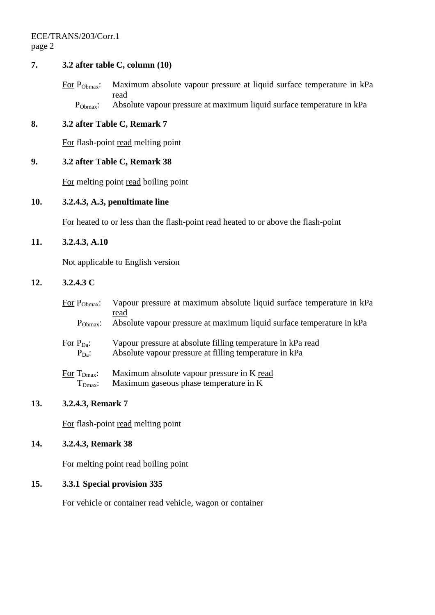ECE/TRANS/203/Corr.1 page 2

# **7. 3.2 after table C, column (10)**

For P<sub>Obmax</sub>: Maximum absolute vapour pressure at liquid surface temperature in kPa read P<sub>Obmax</sub>: Absolute vapour pressure at maximum liquid surface temperature in kPa

# **8. 3.2 after Table C, Remark 7**

For flash-point read melting point

# **9. 3.2 after Table C, Remark 38**

For melting point read boiling point

#### **10. 3.2.4.3, A.3, penultimate line**

For heated to or less than the flash-point read heated to or above the flash-point

# **11. 3.2.4.3, A.10**

Not applicable to English version

# **12. 3.2.4.3 C**

| For $P_{\text{Obmax}}$ :                    | Vapour pressure at maximum absolute liquid surface temperature in kPa<br>read |
|---------------------------------------------|-------------------------------------------------------------------------------|
| $P_{\text{Obmax}}$ :                        | Absolute vapour pressure at maximum liquid surface temperature in kPa         |
| For $P_{Da}$ :                              | Vapour pressure at absolute filling temperature in kPa read                   |
| $P_{Da}:$                                   | Absolute vapour pressure at filling temperature in kPa                        |
| $\overline{\text{For}}$ $T_{\text{Dmax}}$ : | Maximum absolute vapour pressure in K read                                    |
| $T_{Dmax}$ :                                | Maximum gaseous phase temperature in K                                        |

# **13. 3.2.4.3, Remark 7**

For flash-point read melting point

# **14. 3.2.4.3, Remark 38**

For melting point read boiling point

# **15. 3.3.1 Special provision 335**

For vehicle or container read vehicle, wagon or container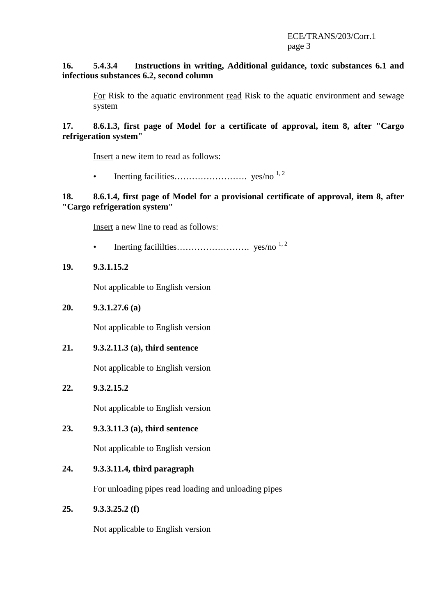# **16. 5.4.3.4 Instructions in writing, Additional guidance, toxic substances 6.1 and infectious substances 6.2, second column**

For Risk to the aquatic environment read Risk to the aquatic environment and sewage system

**17. 8.6.1.3, first page of Model for a certificate of approval, item 8, after "Cargo refrigeration system"** 

Insert a new item to read as follows:

• Inerting facilities……………………. yes/no 1, 2

# **18. 8.6.1.4, first page of Model for a provisional certificate of approval, item 8, after "Cargo refrigeration system"**

Insert a new line to read as follows:

• Inerting facililties……………………. yes/no 1, 2

# **19. 9.3.1.15.2**

Not applicable to English version

### **20. 9.3.1.27.6 (a)**

Not applicable to English version

**21. 9.3.2.11.3 (a), third sentence** 

Not applicable to English version

**22. 9.3.2.15.2** 

Not applicable to English version

### **23. 9.3.3.11.3 (a), third sentence**

Not applicable to English version

#### **24. 9.3.3.11.4, third paragraph**

For unloading pipes read loading and unloading pipes

### **25. 9.3.3.25.2 (f)**

Not applicable to English version